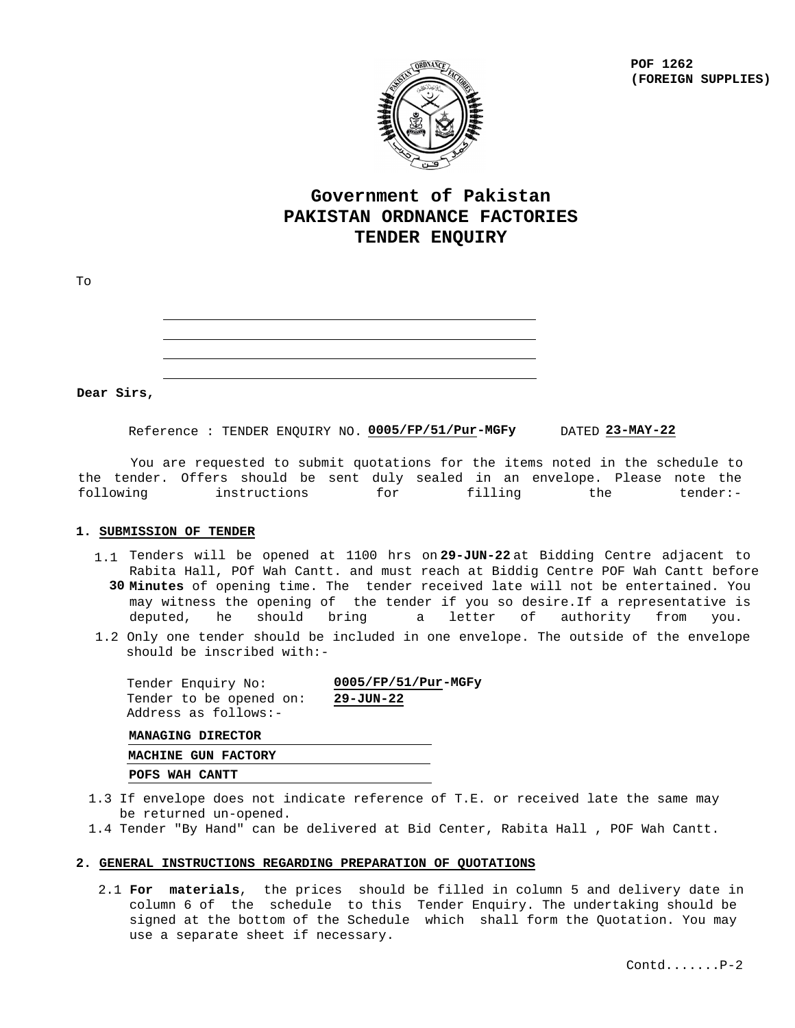**POF 1262 (FOREIGN SUPPLIES)**



# **Government of Pakistan PAKISTAN ORDNANCE FACTORIES TENDER ENQUIRY**

| To |                                                                                                                                                                      |  |
|----|----------------------------------------------------------------------------------------------------------------------------------------------------------------------|--|
|    | ,一个人的人都是一个人的人,而且,他们的人都是一个人的人,而且,他们的人都是一个人的人,而且,他们的人都是一个人的人,而且,他们的人都是一个人的人,而且,他们的<br>第一百一十一章 一个人的人,他们的人都是一个人的人,他们的人都是一个人的人,他们的人都是一个人的人,他们的人都是一个人的人,他们的人都是一个人的人,他们的人都是 |  |
|    | the contract of the contract of the contract of the contract of the contract of the contract of the contract of                                                      |  |

**Dear Sirs,**

Reference : TENDER ENQUIRY NO. <mark>0005/FP/51/Pur</u>-MGFy</mark> DATED 23-MAY-22

 You are requested to submit quotations for the items noted in the schedule to the tender. Offers should be sent duly sealed in an envelope. Please note the<br>following instructions for filling the tender:following instructions for filling the tender:-

#### **1. SUBMISSION OF TENDER**

- 1.1 Tenders will be opened at 1100 hrs on 29-JUN-22 at Bidding Centre adjacent to Rabita Hall, POf Wah Cantt. and must reach at Biddig Centre POF Wah Cantt before **30 Minutes** of opening time. The tender received late will not be entertained. You may witness the opening of the tender if you so desire.If a representative is deputed, he should bring a letter of authority from you.
- 1.2 Only one tender should be included in one envelope. The outside of the envelope should be inscribed with:-

| Tender Enquiry No:                              | $0005/FP/51/Pur-MGFy$ |
|-------------------------------------------------|-----------------------|
| Tender to be opened on:<br>Address as follows:- | 29-JUN-22             |
| MANAGING DIRECTOR                               |                       |
| MACHINE GUN FACTORY                             |                       |

**POFS WAH CANTT**

- 1.3 If envelope does not indicate reference of T.E. or received late the same may be returned un-opened.
- 1.4 Tender "By Hand" can be delivered at Bid Center, Rabita Hall , POF Wah Cantt.

#### **2. GENERAL INSTRUCTIONS REGARDING PREPARATION OF QUOTATIONS**

2.1 **For materials**, the prices should be filled in column 5 and delivery date in column 6 of the schedule to this Tender Enquiry. The undertaking should be signed at the bottom of the Schedule which shall form the Quotation. You may use a separate sheet if necessary.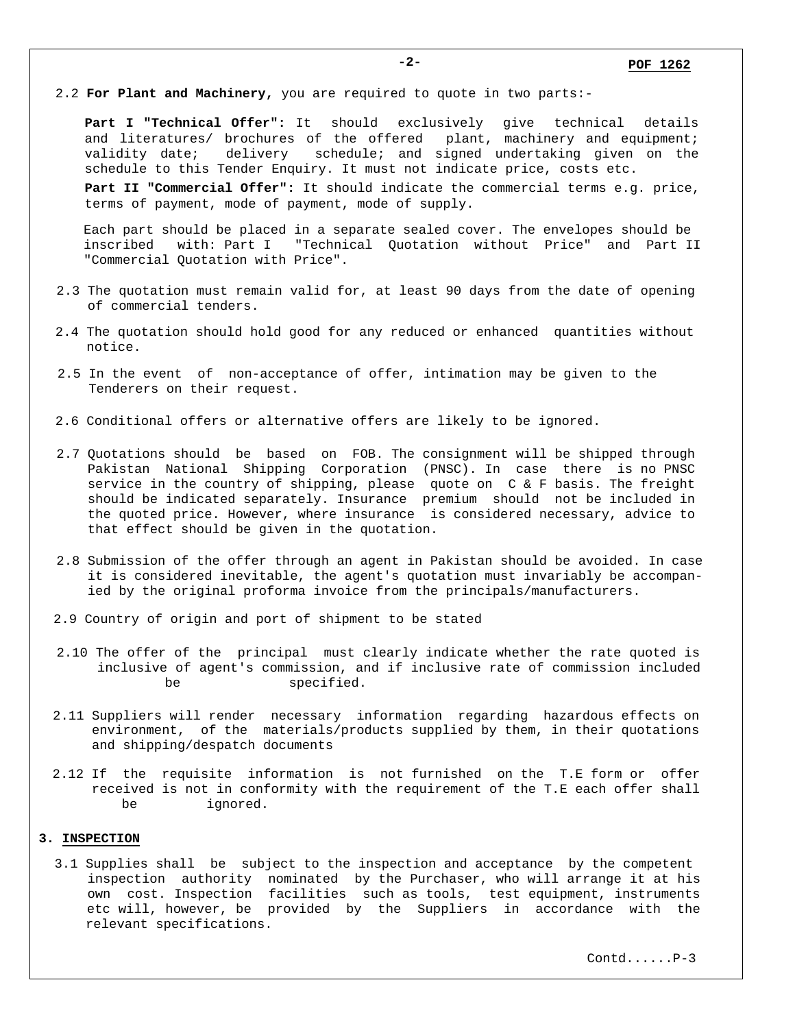2.2 **For Plant and Machinery,** you are required to quote in two parts:-

**Part I "Technical Offer":** It should exclusively give technical details and literatures/ brochures of the offered plant, machinery and equipment; validity date; delivery schedule; and signed undertaking given on the schedule to this Tender Enquiry. It must not indicate price, costs etc.

**Part II "Commercial Offer":** It should indicate the commercial terms e.g. price, terms of payment, mode of payment, mode of supply.

Each part should be placed in a separate sealed cover. The envelopes should be inscribed with: Part I "Technical Quotation without Price" and Part II "Commercial Quotation with Price".

- 2.3 The quotation must remain valid for, at least 90 days from the date of opening of commercial tenders.
- 2.4 The quotation should hold good for any reduced or enhanced quantities without notice.
- 2.5 In the event of non-acceptance of offer, intimation may be given to the Tenderers on their request.
- 2.6 Conditional offers or alternative offers are likely to be ignored.
- 2.7 Quotations should be based on FOB. The consignment will be shipped through Pakistan National Shipping Corporation (PNSC). In case there is no PNSC service in the country of shipping, please quote on C & F basis. The freight should be indicated separately. Insurance premium should not be included in the quoted price. However, where insurance is considered necessary, advice to that effect should be given in the quotation.
- 2.8 Submission of the offer through an agent in Pakistan should be avoided. In case it is considered inevitable, the agent's quotation must invariably be accompan ied by the original proforma invoice from the principals/manufacturers.
- 2.9 Country of origin and port of shipment to be stated
- 2.10 The offer of the principal must clearly indicate whether the rate quoted is inclusive of agent's commission, and if inclusive rate of commission included be specified.
- 2.11 Suppliers will render necessary information regarding hazardous effects on environment, of the materials/products supplied by them, in their quotations and shipping/despatch documents
- 2.12 If the requisite information is not furnished on the T.E form or offer received is not in conformity with the requirement of the T.E each offer shall be ignored.

#### **3. INSPECTION**

3.1 Supplies shall be subject to the inspection and acceptance by the competent inspection authority nominated by the Purchaser, who will arrange it at his own cost. Inspection facilities such as tools, test equipment, instruments etc will, however, be provided by the Suppliers in accordance with the relevant specifications.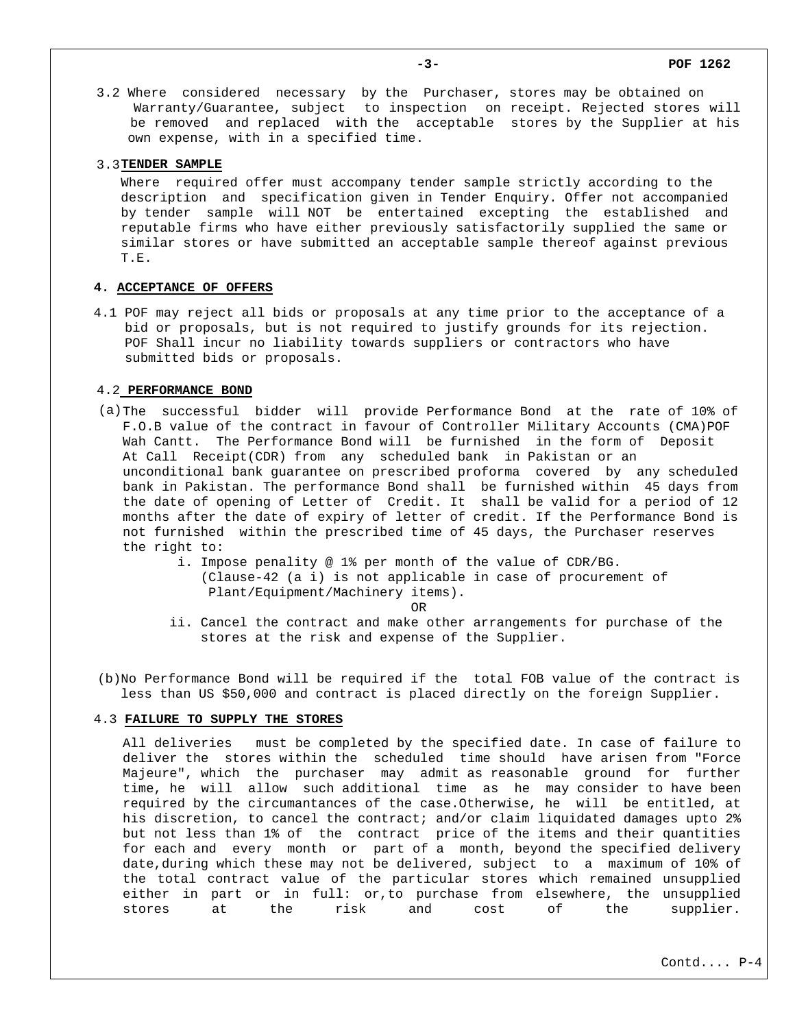3.2 Where considered necessary by the Purchaser, stores may be obtained on Warranty/Guarantee, subject to inspection on receipt. Rejected stores will be removed and replaced with the acceptable stores by the Supplier at his own expense, with in a specified time.

#### 3.3**TENDER SAMPLE**

Where required offer must accompany tender sample strictly according to the description and specification given in Tender Enquiry. Offer not accompanied by tender sample will NOT be entertained excepting the established and reputable firms who have either previously satisfactorily supplied the same or similar stores or have submitted an acceptable sample thereof against previous T.E.

#### **4. ACCEPTANCE OF OFFERS**

4.1 POF may reject all bids or proposals at any time prior to the acceptance of a bid or proposals, but is not required to justify grounds for its rejection. POF Shall incur no liability towards suppliers or contractors who have submitted bids or proposals.

#### 4.2 **PERFORMANCE BOND**

- (a) The successful bidder will provide Performance Bond at the rate of 10% of F.O.B value of the contract in favour of Controller Military Accounts (CMA)POF Wah Cantt. The Performance Bond will be furnished in the form of Deposit At Call Receipt(CDR) from any scheduled bank in Pakistan or an unconditional bank guarantee on prescribed proforma covered by any scheduled bank in Pakistan. The performance Bond shall be furnished within 45 days from the date of opening of Letter of Credit. It shall be valid for a period of 12 months after the date of expiry of letter of credit. If the Performance Bond is not furnished within the prescribed time of 45 days, the Purchaser reserves the right to:
	- i. Impose penality @ 1% per month of the value of CDR/BG. (Clause-42 (a i) is not applicable in case of procurement of Plant/Equipment/Machinery items).

**OR** STREET AND THE STREET AND THE STREET AND THE STREET AND THE STREET AND THE STREET AND THE STREET AND THE STREET AND THE STREET AND THE STREET AND THE STREET AND THE STREET AND THE STREET AND THE STREET AND THE STREET

 ii. Cancel the contract and make other arrangements for purchase of the stores at the risk and expense of the Supplier.

(b) No Performance Bond will be required if the total FOB value of the contract is less than US \$50,000 and contract is placed directly on the foreign Supplier.

### 4.3 **FAILURE TO SUPPLY THE STORES**

All deliveries must be completed by the specified date. In case of failure to deliver the stores within the scheduled time should have arisen from "Force Majeure", which the purchaser may admit as reasonable ground for further time, he will allow such additional time as he may consider to have been required by the circumantances of the case.Otherwise, he will be entitled, at his discretion, to cancel the contract; and/or claim liquidated damages upto 2% but not less than 1% of the contract price of the items and their quantities for each and every month or part of a month, beyond the specified delivery date,during which these may not be delivered, subject to a maximum of 10% of the total contract value of the particular stores which remained unsupplied either in part or in full: or,to purchase from elsewhere, the unsupplied stores at the risk and cost of the supplier.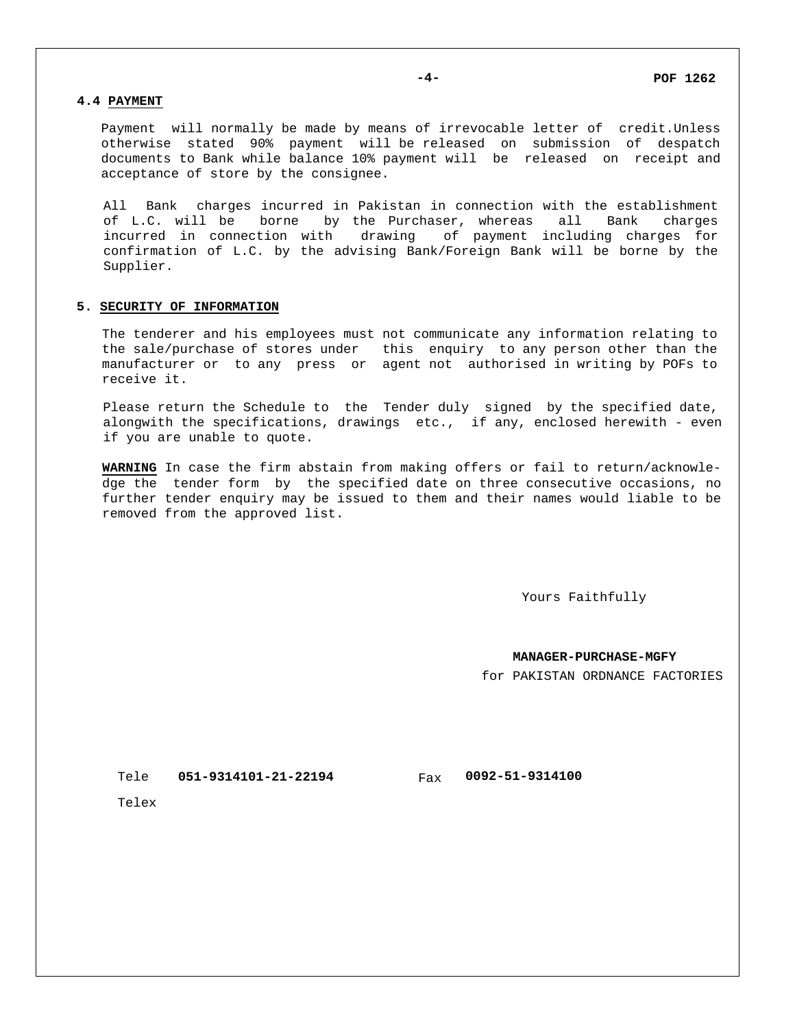## **4.4 PAYMENT**

Payment will normally be made by means of irrevocable letter of credit.Unless otherwise stated 90% payment will be released on submission of despatch documents to Bank while balance 10% payment will be released on receipt and acceptance of store by the consignee.

All Bank charges incurred in Pakistan in connection with the establishment of L.C. will be borne by the Purchaser, whereas all Bank charges incurred in connection with drawing of payment including charges for confirmation of L.C. by the advising Bank/Foreign Bank will be borne by the Supplier.

## **5. SECURITY OF INFORMATION**

The tenderer and his employees must not communicate any information relating to the sale/purchase of stores under this enquiry to any person other than the manufacturer or to any press or agent not authorised in writing by POFs to receive it.

Please return the Schedule to the Tender duly signed by the specified date, alongwith the specifications, drawings etc., if any, enclosed herewith - even if you are unable to quote.

**WARNING** In case the firm abstain from making offers or fail to return/acknowledge the tender form by the specified date on three consecutive occasions, no further tender enquiry may be issued to them and their names would liable to be removed from the approved list.

Yours Faithfully

**MANAGER-PURCHASE-MGFY**

for PAKISTAN ORDNANCE FACTORIES

**051-9314101-21-22194 0092-51-9314100** Tele

Fax

Telex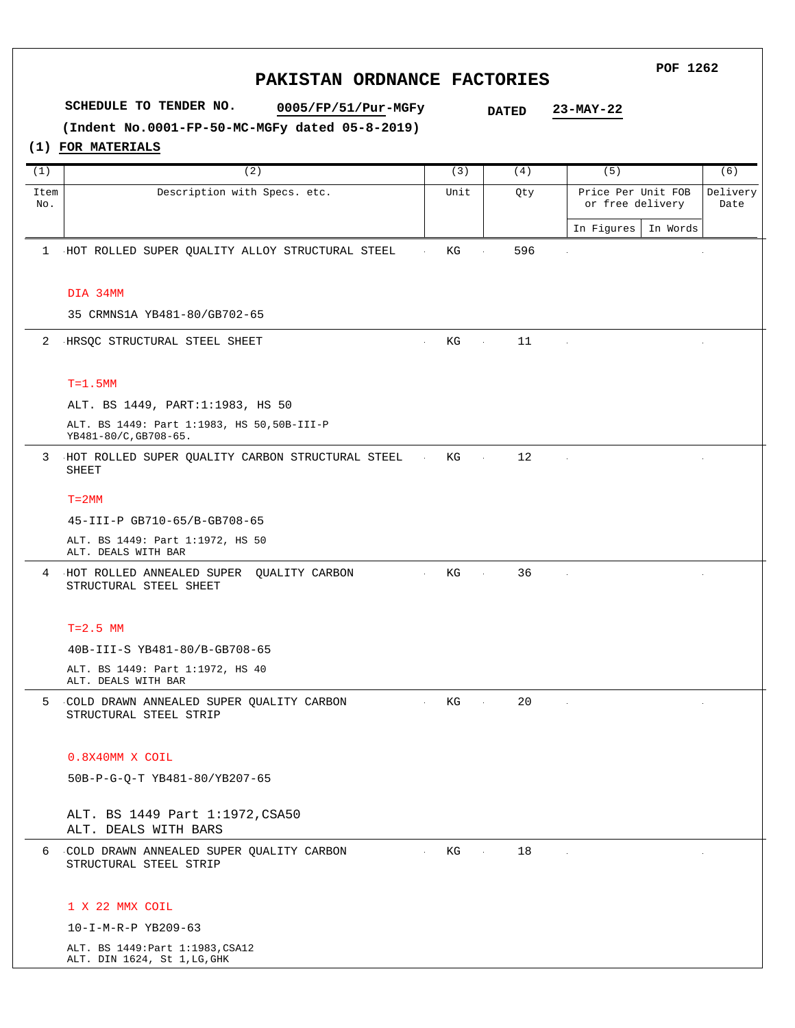#### **POF 1262 PAKISTAN ORDNANCE FACTORIES SCHEDULE TO TENDER NO. 0005/FP/51/Pur-MGFy 23-MAY-22 DATED (Indent No.0001-FP-50-MC-MGFy dated 05-8-2019)(1) FOR MATERIALS** (6) (1)  $(2)$  (3)  $(4)$  (5) Item Description with Specs. etc. Unit Qty Price Per Unit FOB Delivery No. or free delivery Date In Figures In Words 1 HOT ROLLED SUPER QUALITY ALLOY STRUCTURAL STEEL KG 596 DIA 34MM 35 CRMNS1A YB481-80/GB702-65 2 HRSQC STRUCTURAL STEEL SHEET KG  $\sim 10^{-1}$ 11  $\sim$ T=1.5MM ALT. BS 1449, PART:1:1983, HS 50 ALT. BS 1449: Part 1:1983, HS 50,50B-III-P YB481-80/C,GB708-65. 3 HOT ROLLED SUPER QUALITY CARBON STRUCTURAL STEEL KG  $\sim 100$ 12  $\mathcal{L}_{\mathcal{A}}$ SHEET  $T=2MM$ 45-III-P GB710-65/B-GB708-65 ALT. BS 1449: Part 1:1972, HS 50 ALT. DEALS WITH BAR HOT ROLLED ANNEALED SUPER QUALITY CARBON  $KG$ 36 4  $\sim 10^7$ n. ÷ STRUCTURAL STEEL SHEET  $T=2.5$  MM 40B-III-S YB481-80/B-GB708-65 ALT. BS 1449: Part 1:1972, HS 40 ALT. DEALS WITH BAR COLD DRAWN ANNEALED SUPER QUALITY CARBON  $KG$ 20 5 STRUCTURAL STEEL STRIP 0.8X40MM X COIL 50B-P-G-Q-T YB481-80/YB207-65 ALT. BS 1449 Part 1:1972,CSA50 ALT. DEALS WITH BARS 6 COLD DRAWN ANNEALED SUPER QUALITY CARBON  $KG$ 18  $\sim 100$  $\mathcal{L}$ l, STRUCTURAL STEEL STRIP 1 X 22 MMX COIL 10-I-M-R-P YB209-63 ALT. BS 1449:Part 1:1983,CSA12

ALT. DIN 1624, St 1,LG,GHK